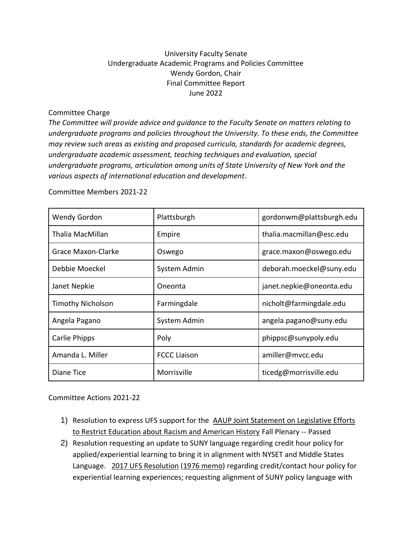## University Faculty Senate Undergraduate Academic Programs and Policies Committee Wendy Gordon, Chair Final Committee Report June 2022

Committee Charge

*The Committee will provide advice and guidance to the Faculty Senate on matters relating to undergraduate programs and policies throughout the University. To these ends, the Committee may review such areas as existing and proposed curricula, standards for academic degrees, undergraduate academic assessment, teaching techniques and evaluation, special undergraduate programs, articulation among units of State University of New York and the various aspects of international education and development*.

Committee Members 2021-22

| <b>Wendy Gordon</b>      | Plattsburgh         | gordonwm@plattsburgh.edu |
|--------------------------|---------------------|--------------------------|
| Thalia MacMillan         | Empire              | thalia.macmillan@esc.edu |
| Grace Maxon-Clarke       | Oswego              | grace.maxon@oswego.edu   |
| Debbie Moeckel           | System Admin        | deborah.moeckel@suny.edu |
| Janet Nepkie             | Oneonta             | janet.nepkie@oneonta.edu |
| <b>Timothy Nicholson</b> | Farmingdale         | nicholt@farmingdale.edu  |
| Angela Pagano            | System Admin        | angela.pagano@suny.edu   |
| Carlie Phipps            | Poly                | phippsc@sunypoly.edu     |
| Amanda L. Miller         | <b>FCCC Liaison</b> | amiller@mvcc.edu         |
| Diane Tice               | Morrisville         | ticedg@morrisville.edu   |

Committee Actions 2021-22

- 1) Resolution to express UFS support for the [AAUP Joint Statement on Legislative Efforts](https://www.aaup.org/news/joint-statement-efforts-restrict-education-about-racism#.YU0OFIhKg2w)  [to Restrict Education about Racism and American History](https://www.aaup.org/news/joint-statement-efforts-restrict-education-about-racism#.YU0OFIhKg2w) Fall Plenary -- Passed
- 2) Resolution requesting an update to SUNY language regarding credit hour policy for applied/experiential learning to bring it in alignment with NYSET and Middle States Language. [2017 UFS Resolution](https://system.suny.edu/media/suny/content-assets/documents/faculty-senate/resolutions/175-03-1-Resolution-on-Contact-Hours.pdf) [\(1976 memo\)](https://system.suny.edu/media/suny/content-assets/documents/faculty-senate/resolutions/mtp76-8(1).pdf) regarding credit/contact hour policy for experiential learning experiences; requesting alignment of SUNY policy language with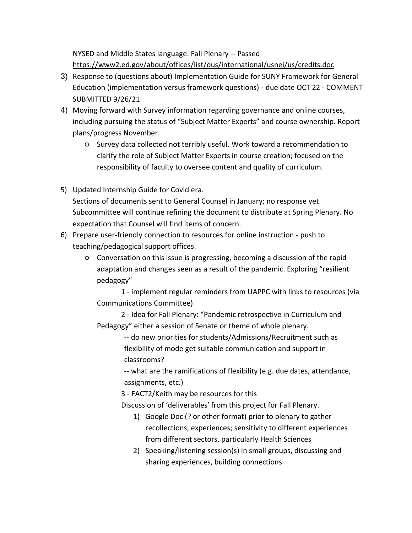NYSED and Middle States language. Fall Plenary -- Passed <https://www2.ed.gov/about/offices/list/ous/international/usnei/us/credits.doc>

- 3) Response to (questions about) Implementation Guide for SUNY Framework for General Education (implementation versus framework questions) - due date OCT 22 - COMMENT SUBMITTED 9/26/21
- 4) Moving forward with Survey information regarding governance and online courses, including pursuing the status of "Subject Matter Experts" and course ownership. Report plans/progress November.
	- Survey data collected not terribly useful. Work toward a recommendation to clarify the role of Subject Matter Experts in course creation; focused on the responsibility of faculty to oversee content and quality of curriculum.
- 5) Updated Internship Guide for Covid era. Sections of documents sent to General Counsel in January; no response yet. Subcommittee will continue refining the document to distribute at Spring Plenary. No expectation that Counsel will find items of concern.
- 6) Prepare user-friendly connection to resources for online instruction push to teaching/pedagogical support offices.
	- Conversation on this issue is progressing, becoming a discussion of the rapid adaptation and changes seen as a result of the pandemic. Exploring "resilient pedagogy"

1 - implement regular reminders from UAPPC with links to resources (via Communications Committee)

2 - Idea for Fall Plenary: "Pandemic retrospective in Curriculum and Pedagogy" either a session of Senate or theme of whole plenary.

> -- do new priorities for students/Admissions/Recruitment such as flexibility of mode get suitable communication and support in classrooms?

-- what are the ramifications of flexibility (e.g. due dates, attendance, assignments, etc.)

3 - FACT2/Keith may be resources for this

Discussion of 'deliverables' from this project for Fall Plenary.

- 1) Google Doc (? or other format) prior to plenary to gather recollections, experiences; sensitivity to different experiences from different sectors, particularly Health Sciences
- 2) Speaking/listening session(s) in small groups, discussing and sharing experiences, building connections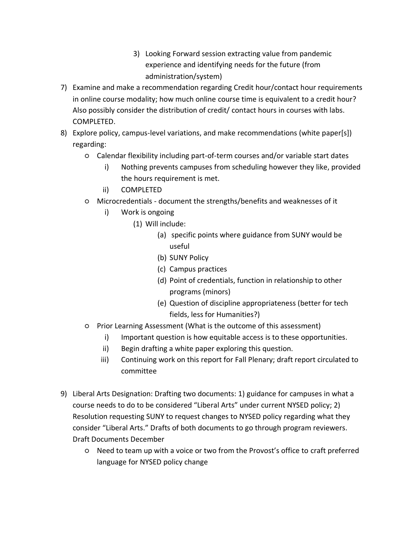- 3) Looking Forward session extracting value from pandemic experience and identifying needs for the future (from administration/system)
- 7) Examine and make a recommendation regarding Credit hour/contact hour requirements in online course modality; how much online course time is equivalent to a credit hour? Also possibly consider the distribution of credit/ contact hours in courses with labs. COMPLETED.
- 8) Explore policy, campus-level variations, and make recommendations (white paper[s]) regarding:
	- Calendar flexibility including part-of-term courses and/or variable start dates
		- i) Nothing prevents campuses from scheduling however they like, provided the hours requirement is met.
		- ii) COMPLETED
	- Microcredentials document the strengths/benefits and weaknesses of it
		- i) Work is ongoing
			- (1) Will include:
				- (a) specific points where guidance from SUNY would be useful
				- (b) SUNY Policy
				- (c) Campus practices
				- (d) Point of credentials, function in relationship to other programs (minors)
				- (e) Question of discipline appropriateness (better for tech fields, less for Humanities?)
	- Prior Learning Assessment (What is the outcome of this assessment)
		- i) Important question is how equitable access is to these opportunities.
		- ii) Begin drafting a white paper exploring this question.
		- iii) Continuing work on this report for Fall Plenary; draft report circulated to committee
- 9) Liberal Arts Designation: Drafting two documents: 1) guidance for campuses in what a course needs to do to be considered "Liberal Arts" under current NYSED policy; 2) Resolution requesting SUNY to request changes to NYSED policy regarding what they consider "Liberal Arts." Drafts of both documents to go through program reviewers. Draft Documents December
	- Need to team up with a voice or two from the Provost's office to craft preferred language for NYSED policy change